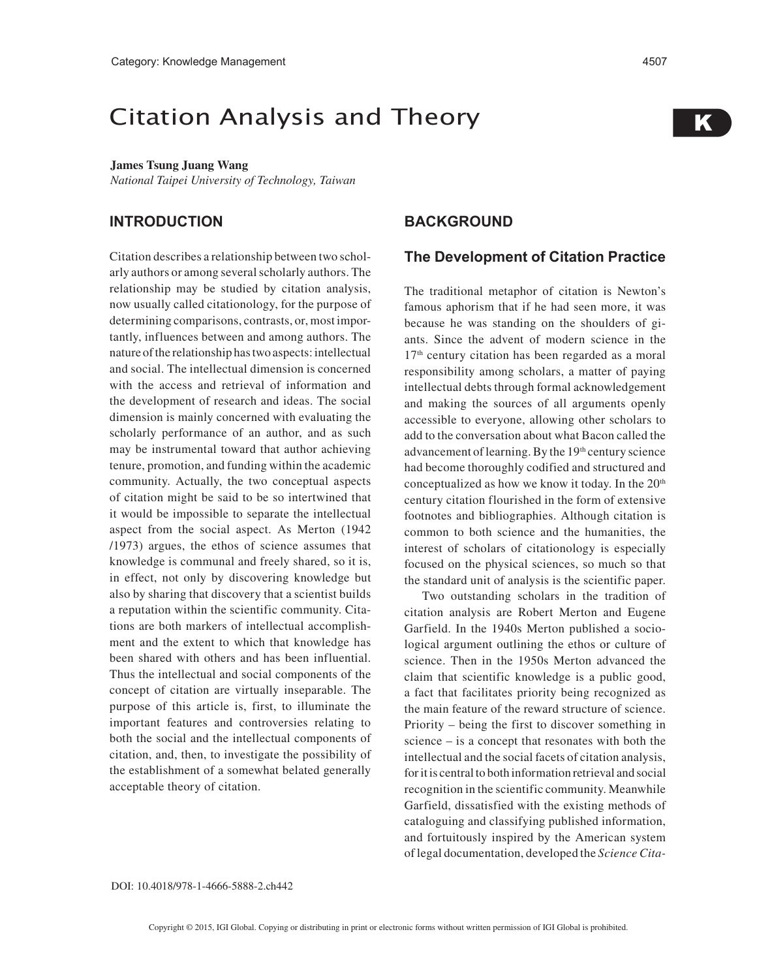# Citation Analysis and Theory

#### **James Tsung Juang Wang**

*National Taipei University of Technology, Taiwan*

### **INTRODUCTION**

Citation describes a relationship between two scholarly authors or among several scholarly authors. The relationship may be studied by citation analysis, now usually called citationology, for the purpose of determining comparisons, contrasts, or, most importantly, influences between and among authors. The nature of the relationship has two aspects: intellectual and social. The intellectual dimension is concerned with the access and retrieval of information and the development of research and ideas. The social dimension is mainly concerned with evaluating the scholarly performance of an author, and as such may be instrumental toward that author achieving tenure, promotion, and funding within the academic community. Actually, the two conceptual aspects of citation might be said to be so intertwined that it would be impossible to separate the intellectual aspect from the social aspect. As Merton (1942 /1973) argues, the ethos of science assumes that knowledge is communal and freely shared, so it is, in effect, not only by discovering knowledge but also by sharing that discovery that a scientist builds a reputation within the scientific community. Citations are both markers of intellectual accomplishment and the extent to which that knowledge has been shared with others and has been influential. Thus the intellectual and social components of the concept of citation are virtually inseparable. The purpose of this article is, first, to illuminate the important features and controversies relating to both the social and the intellectual components of citation, and, then, to investigate the possibility of the establishment of a somewhat belated generally acceptable theory of citation.

### **BACKGROUND**

#### **The Development of Citation Practice**

The traditional metaphor of citation is Newton's famous aphorism that if he had seen more, it was because he was standing on the shoulders of giants. Since the advent of modern science in the 17<sup>th</sup> century citation has been regarded as a moral responsibility among scholars, a matter of paying intellectual debts through formal acknowledgement and making the sources of all arguments openly accessible to everyone, allowing other scholars to add to the conversation about what Bacon called the advancement of learning. By the 19<sup>th</sup> century science had become thoroughly codified and structured and conceptualized as how we know it today. In the 20<sup>th</sup> century citation flourished in the form of extensive footnotes and bibliographies. Although citation is common to both science and the humanities, the interest of scholars of citationology is especially focused on the physical sciences, so much so that the standard unit of analysis is the scientific paper.

Two outstanding scholars in the tradition of citation analysis are Robert Merton and Eugene Garfield. In the 1940s Merton published a sociological argument outlining the ethos or culture of science. Then in the 1950s Merton advanced the claim that scientific knowledge is a public good, a fact that facilitates priority being recognized as the main feature of the reward structure of science. Priority – being the first to discover something in science – is a concept that resonates with both the intellectual and the social facets of citation analysis, for it is central to both information retrieval and social recognition in the scientific community. Meanwhile Garfield, dissatisfied with the existing methods of cataloguing and classifying published information, and fortuitously inspired by the American system of legal documentation, developed the *Science Cita-*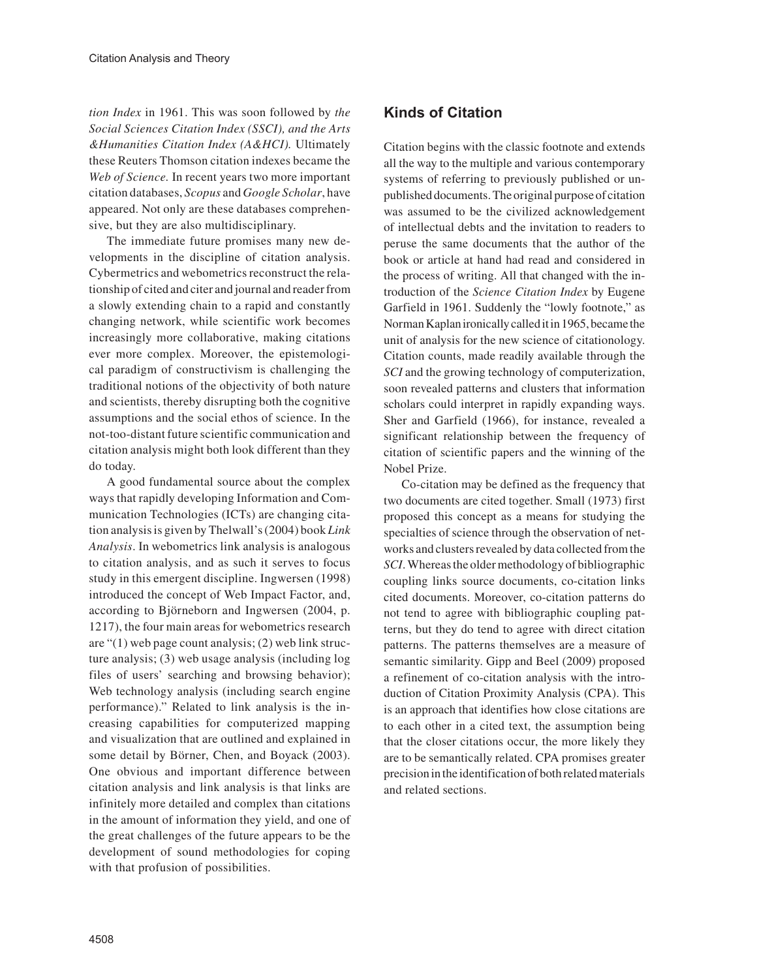*tion Index* in 1961. This was soon followed by *the Social Sciences Citation Index (SSCI), and the Arts &Humanities Citation Index (A&HCI).* Ultimately these Reuters Thomson citation indexes became the *Web of Science.* In recent years two more important citation databases, *Scopus* and *Google Scholar*, have appeared. Not only are these databases comprehensive, but they are also multidisciplinary.

The immediate future promises many new developments in the discipline of citation analysis. Cybermetrics and webometrics reconstruct the relationship of cited and citer and journal and reader from a slowly extending chain to a rapid and constantly changing network, while scientific work becomes increasingly more collaborative, making citations ever more complex. Moreover, the epistemological paradigm of constructivism is challenging the traditional notions of the objectivity of both nature and scientists, thereby disrupting both the cognitive assumptions and the social ethos of science. In the not-too-distant future scientific communication and citation analysis might both look different than they do today.

A good fundamental source about the complex ways that rapidly developing Information and Communication Technologies (ICTs) are changing citation analysis is given by Thelwall's (2004) book *Link Analysis*. In webometrics link analysis is analogous to citation analysis, and as such it serves to focus study in this emergent discipline. Ingwersen (1998) introduced the concept of Web Impact Factor, and, according to Björneborn and Ingwersen (2004, p. 1217), the four main areas for webometrics research are "(1) web page count analysis; (2) web link structure analysis; (3) web usage analysis (including log files of users' searching and browsing behavior); Web technology analysis (including search engine performance)." Related to link analysis is the increasing capabilities for computerized mapping and visualization that are outlined and explained in some detail by Börner, Chen, and Boyack (2003). One obvious and important difference between citation analysis and link analysis is that links are infinitely more detailed and complex than citations in the amount of information they yield, and one of the great challenges of the future appears to be the development of sound methodologies for coping with that profusion of possibilities.

## **Kinds of Citation**

Citation begins with the classic footnote and extends all the way to the multiple and various contemporary systems of referring to previously published or unpublished documents. The original purpose of citation was assumed to be the civilized acknowledgement of intellectual debts and the invitation to readers to peruse the same documents that the author of the book or article at hand had read and considered in the process of writing. All that changed with the introduction of the *Science Citation Index* by Eugene Garfield in 1961. Suddenly the "lowly footnote," as Norman Kaplan ironically called it in 1965, became the unit of analysis for the new science of citationology. Citation counts, made readily available through the *SCI* and the growing technology of computerization, soon revealed patterns and clusters that information scholars could interpret in rapidly expanding ways. Sher and Garfield (1966), for instance, revealed a significant relationship between the frequency of citation of scientific papers and the winning of the Nobel Prize.

Co-citation may be defined as the frequency that two documents are cited together. Small (1973) first proposed this concept as a means for studying the specialties of science through the observation of networks and clusters revealed by data collected from the *SCI*. Whereas the older methodology of bibliographic coupling links source documents, co-citation links cited documents. Moreover, co-citation patterns do not tend to agree with bibliographic coupling patterns, but they do tend to agree with direct citation patterns. The patterns themselves are a measure of semantic similarity. Gipp and Beel (2009) proposed a refinement of co-citation analysis with the introduction of Citation Proximity Analysis (CPA). This is an approach that identifies how close citations are to each other in a cited text, the assumption being that the closer citations occur, the more likely they are to be semantically related. CPA promises greater precision in the identification of both related materials and related sections.